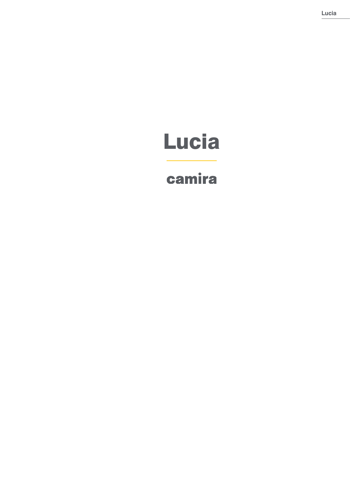# Lucia

# camira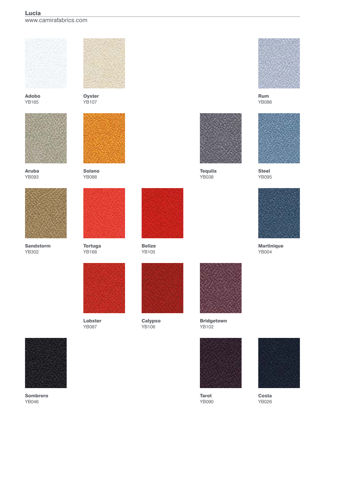## Lucia





Adobo YB165



Aruba YB093



Sandstorm YB302



**Oyster** YB107



Solano YB088



Tortuga YB168



Lobster YB087



Belize YB105



**Calypso** YB106



Rum YB086



Steel YB095



**Martinique** YB004



Sombrero YB046



**Tequila** YB038



Tarot YB090



Costa YB026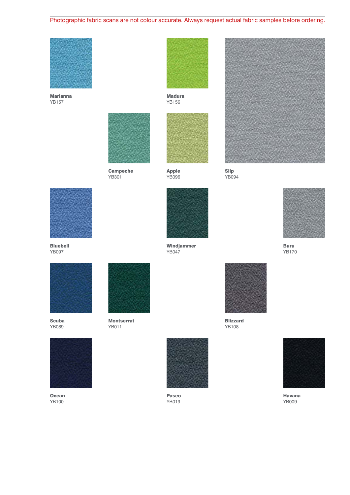## Photographic fabric scans are not colour accurate. Always request actual fabric samples before ordering.



Marianna YB157



Campeche YB301



Madura YB156



Apple YB096

Windjammer YB047



Slip YB094



Buru YB170



Bluebell YB097



Scuba YB089



YB011



**Ocean** YB100



Montserrat



Paseo YB019



Blizzard YB108



Havana YB009